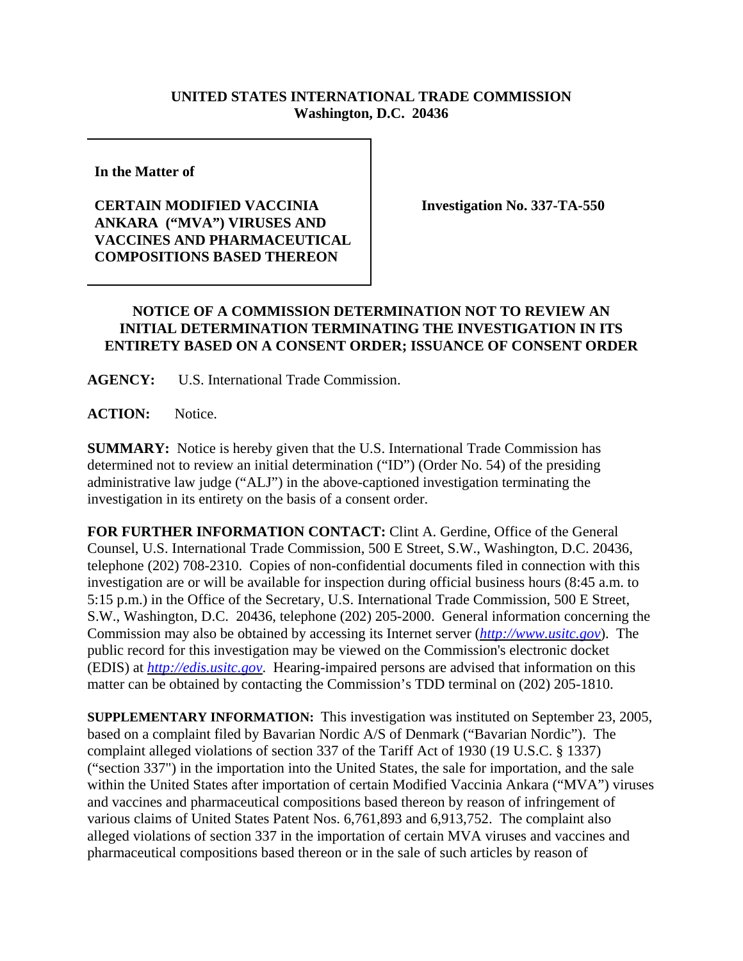## **UNITED STATES INTERNATIONAL TRADE COMMISSION Washington, D.C. 20436**

**In the Matter of**

## **CERTAIN MODIFIED VACCINIA ANKARA ("MVA") VIRUSES AND VACCINES AND PHARMACEUTICAL COMPOSITIONS BASED THEREON**

**Investigation No. 337-TA-550**

## **NOTICE OF A COMMISSION DETERMINATION NOT TO REVIEW AN INITIAL DETERMINATION TERMINATING THE INVESTIGATION IN ITS ENTIRETY BASED ON A CONSENT ORDER; ISSUANCE OF CONSENT ORDER**

**AGENCY:** U.S. International Trade Commission.

**ACTION:** Notice.

**SUMMARY:** Notice is hereby given that the U.S. International Trade Commission has determined not to review an initial determination ("ID") (Order No. 54) of the presiding administrative law judge ("ALJ") in the above-captioned investigation terminating the investigation in its entirety on the basis of a consent order.

**FOR FURTHER INFORMATION CONTACT:** Clint A. Gerdine, Office of the General Counsel, U.S. International Trade Commission, 500 E Street, S.W., Washington, D.C. 20436, telephone (202) 708-2310. Copies of non-confidential documents filed in connection with this investigation are or will be available for inspection during official business hours (8:45 a.m. to 5:15 p.m.) in the Office of the Secretary, U.S. International Trade Commission, 500 E Street, S.W., Washington, D.C. 20436, telephone (202) 205-2000. General information concerning the Commission may also be obtained by accessing its Internet server (*http://www.usitc.gov*). The public record for this investigation may be viewed on the Commission's electronic docket (EDIS) at *http://edis.usitc.gov*. Hearing-impaired persons are advised that information on this matter can be obtained by contacting the Commission's TDD terminal on (202) 205-1810.

**SUPPLEMENTARY INFORMATION:** This investigation was instituted on September 23, 2005, based on a complaint filed by Bavarian Nordic A/S of Denmark ("Bavarian Nordic"). The complaint alleged violations of section 337 of the Tariff Act of 1930 (19 U.S.C. § 1337) ("section 337") in the importation into the United States, the sale for importation, and the sale within the United States after importation of certain Modified Vaccinia Ankara ("MVA") viruses and vaccines and pharmaceutical compositions based thereon by reason of infringement of various claims of United States Patent Nos. 6,761,893 and 6,913,752. The complaint also alleged violations of section 337 in the importation of certain MVA viruses and vaccines and pharmaceutical compositions based thereon or in the sale of such articles by reason of